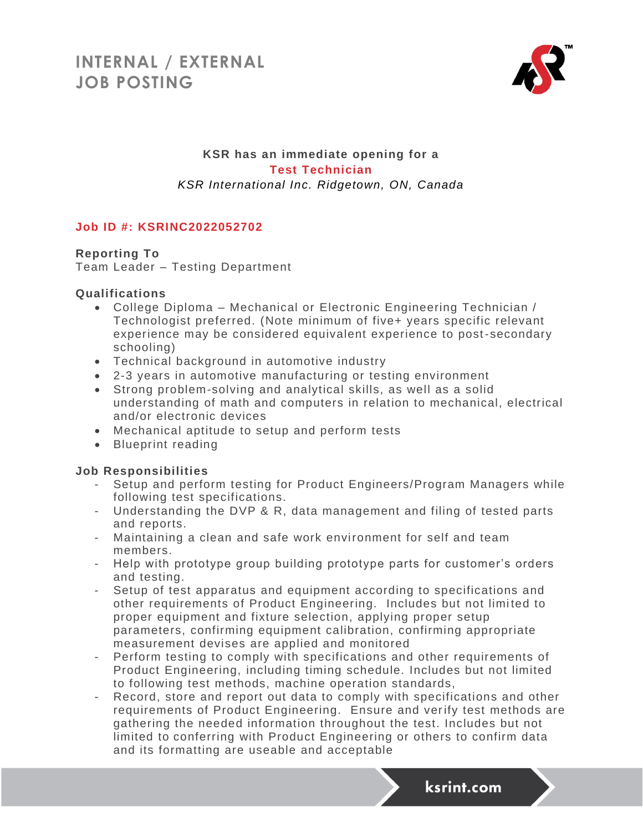

# **KSR has an immediate opening for a Test Technician** *KSR International Inc. Ridgetown, ON, Canada*

# **Job ID #: KSRINC2022052702**

## **Reporting To**

Team Leader – Testing Department

#### **Qualifications**

- College Diploma Mechanical or Electronic Engineering Technician / Technologist preferred. (Note minimum of five+ years specific relevant experience may be considered equivalent experience to post-secondary schooling)
- Technical background in automotive industry
- 2-3 years in automotive manufacturing or testing environment
- Strong problem-solving and analytical skills, as well as a solid understanding of math and computers in relation to mechanical, electrical and/or electronic devices
- Mechanical aptitude to setup and perform tests
- Blueprint reading

## **Job Responsibilities**

- Setup and perform testing for Product Engineers/Program Managers while following test specifications.
- Understanding the DVP & R, data management and filing of tested parts and reports.
- Maintaining a clean and safe work environment for self and team members.
- Help with prototype group building prototype parts for customer's orders and testing.
- Setup of test apparatus and equipment according to specifications and other requirements of Product Engineering. Includes but not limi ted to proper equipment and fixture selection, applying proper setup parameters, confirming equipment calibration, confirming appropriate measurement devises are applied and monitored
- Perform testing to comply with specifications and other requirements of Product Engineering, including timing schedule. Includes but not limited to following test methods, machine operation standards,
- Record, store and report out data to comply with specifications and other requirements of Product Engineering. Ensure and verify test methods are gathering the needed information throughout the test. Includes but not limited to conferring with Product Engineering or others to confirm data and its formatting are useable and acceptable